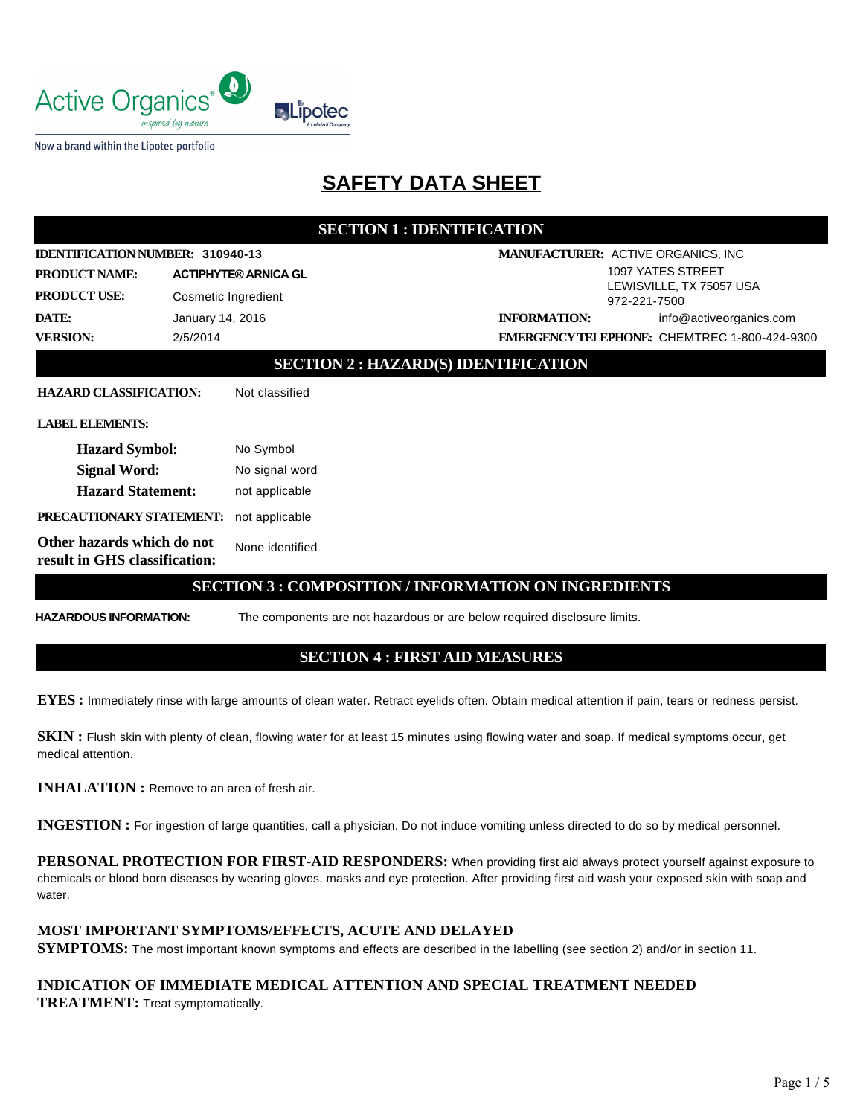

Now a brand within the Lipotec portfolio

# **SAFETY DATA SHEET**

## **SECTION 1 : IDENTIFICATION**

| IDENTIFICATION NUMBER: 310940-13                            |                     |                             |                                          | MANUFACTURER: ACTIVE ORGANICS, INC                  |  |  |
|-------------------------------------------------------------|---------------------|-----------------------------|------------------------------------------|-----------------------------------------------------|--|--|
| <b>PRODUCT NAME:</b>                                        |                     | <b>ACTIPHYTE® ARNICA GL</b> |                                          | 1097 YATES STREET                                   |  |  |
| <b>PRODUCT USE:</b>                                         | Cosmetic Ingredient |                             | LEWISVILLE, TX 75057 USA<br>972-221-7500 |                                                     |  |  |
| DATE:<br>January 14, 2016                                   |                     | <b>INFORMATION:</b>         | info@activeorganics.com                  |                                                     |  |  |
| <b>VERSION:</b>                                             | 2/5/2014            |                             |                                          | <b>EMERGENCY TELEPHONE: CHEMTREC 1-800-424-9300</b> |  |  |
| <b>SECTION 2: HAZARD(S) IDENTIFICATION</b>                  |                     |                             |                                          |                                                     |  |  |
| <b>HAZARD CLASSIFICATION:</b>                               |                     | Not classified              |                                          |                                                     |  |  |
| <b>LABEL ELEMENTS:</b>                                      |                     |                             |                                          |                                                     |  |  |
| <b>Hazard Symbol:</b>                                       |                     | No Symbol                   |                                          |                                                     |  |  |
| <b>Signal Word:</b>                                         |                     | No signal word              |                                          |                                                     |  |  |
| <b>Hazard Statement:</b>                                    |                     | not applicable              |                                          |                                                     |  |  |
| PRECAUTIONARY STATEMENT:                                    |                     | not applicable              |                                          |                                                     |  |  |
| Other hazards which do not<br>result in GHS classification: |                     | None identified             |                                          |                                                     |  |  |
| <b>SECTION 3 : COMPOSITION / INFORMATION ON INGREDIENTS</b> |                     |                             |                                          |                                                     |  |  |

**HAZARDOUS INFORMATION:** The components are not hazardous or are below required disclosure limits.

## **SECTION 4 : FIRST AID MEASURES**

**EYES :** Immediately rinse with large amounts of clean water. Retract eyelids often. Obtain medical attention if pain, tears or redness persist.

**SKIN :** Flush skin with plenty of clean, flowing water for at least 15 minutes using flowing water and soap. If medical symptoms occur, get medical attention.

**INHALATION :** Remove to an area of fresh air.

**INGESTION :** For ingestion of large quantities, call a physician. Do not induce vomiting unless directed to do so by medical personnel.

**PERSONAL PROTECTION FOR FIRST-AID RESPONDERS:** When providing first aid always protect yourself against exposure to chemicals or blood born diseases by wearing gloves, masks and eye protection. After providing first aid wash your exposed skin with soap and water.

#### **MOST IMPORTANT SYMPTOMS/EFFECTS, ACUTE AND DELAYED**

**SYMPTOMS:** The most important known symptoms and effects are described in the labelling (see section 2) and/or in section 11.

## **INDICATION OF IMMEDIATE MEDICAL ATTENTION AND SPECIAL TREATMENT NEEDED TREATMENT:** Treat symptomatically.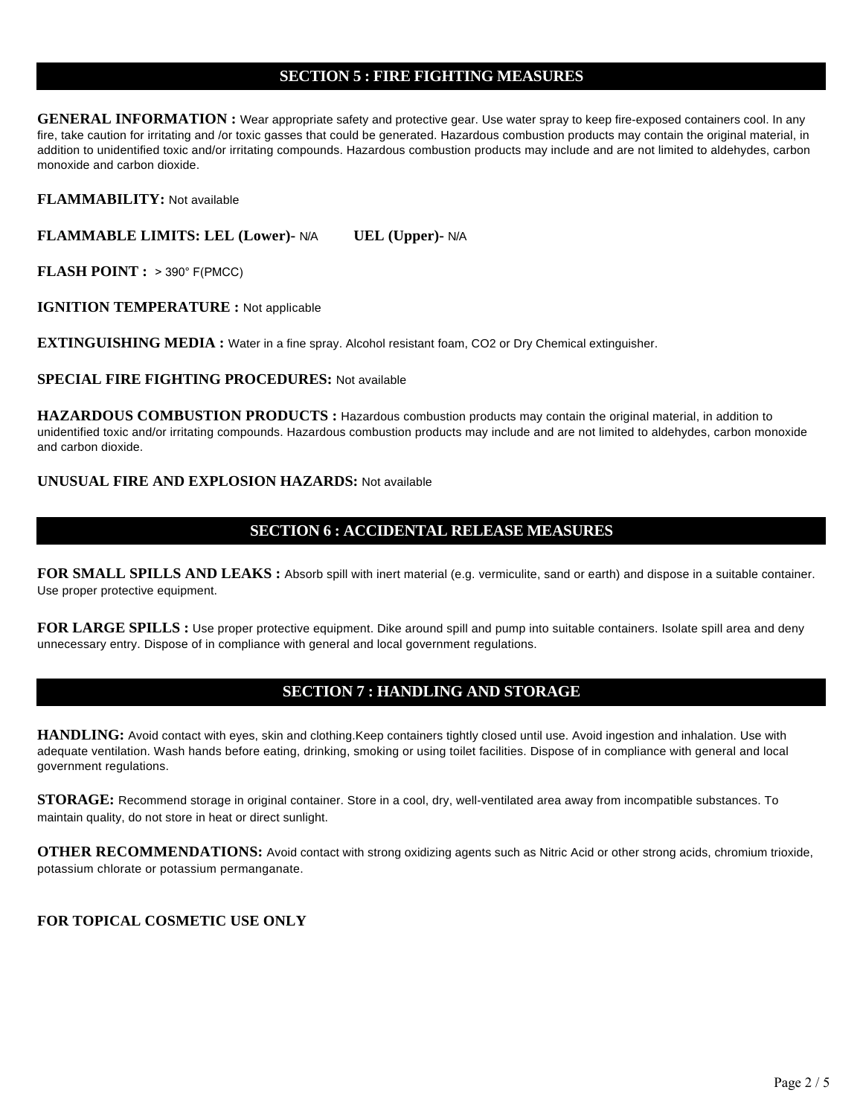## **SECTION 5 : FIRE FIGHTING MEASURES**

**GENERAL INFORMATION :** Wear appropriate safety and protective gear. Use water spray to keep fire-exposed containers cool. In any fire, take caution for irritating and /or toxic gasses that could be generated. Hazardous combustion products may contain the original material, in addition to unidentified toxic and/or irritating compounds. Hazardous combustion products may include and are not limited to aldehydes, carbon monoxide and carbon dioxide.

**FLAMMABILITY:** Not available

**FLAMMABLE LIMITS: LEL (Lower)-** N/A **UEL (Upper)-** N/A

**FLASH POINT :** > 390° F(PMCC)

**IGNITION TEMPERATURE :** Not applicable

**EXTINGUISHING MEDIA :** Water in a fine spray. Alcohol resistant foam, CO2 or Dry Chemical extinguisher.

**SPECIAL FIRE FIGHTING PROCEDURES:** Not available

**HAZARDOUS COMBUSTION PRODUCTS :** Hazardous combustion products may contain the original material, in addition to unidentified toxic and/or irritating compounds. Hazardous combustion products may include and are not limited to aldehydes, carbon monoxide and carbon dioxide.

#### **UNUSUAL FIRE AND EXPLOSION HAZARDS:** Not available

# **SECTION 6 : ACCIDENTAL RELEASE MEASURES**

**FOR SMALL SPILLS AND LEAKS :** Absorb spill with inert material (e.g. vermiculite, sand or earth) and dispose in a suitable container. Use proper protective equipment.

FOR LARGE SPILLS : Use proper protective equipment. Dike around spill and pump into suitable containers. Isolate spill area and deny unnecessary entry. Dispose of in compliance with general and local government regulations.

## **SECTION 7 : HANDLING AND STORAGE**

**HANDLING:** Avoid contact with eyes, skin and clothing.Keep containers tightly closed until use. Avoid ingestion and inhalation. Use with adequate ventilation. Wash hands before eating, drinking, smoking or using toilet facilities. Dispose of in compliance with general and local government regulations.

**STORAGE:** Recommend storage in original container. Store in a cool, dry, well-ventilated area away from incompatible substances. To maintain quality, do not store in heat or direct sunlight.

**OTHER RECOMMENDATIONS:** Avoid contact with strong oxidizing agents such as Nitric Acid or other strong acids, chromium trioxide, potassium chlorate or potassium permanganate.

#### **FOR TOPICAL COSMETIC USE ONLY**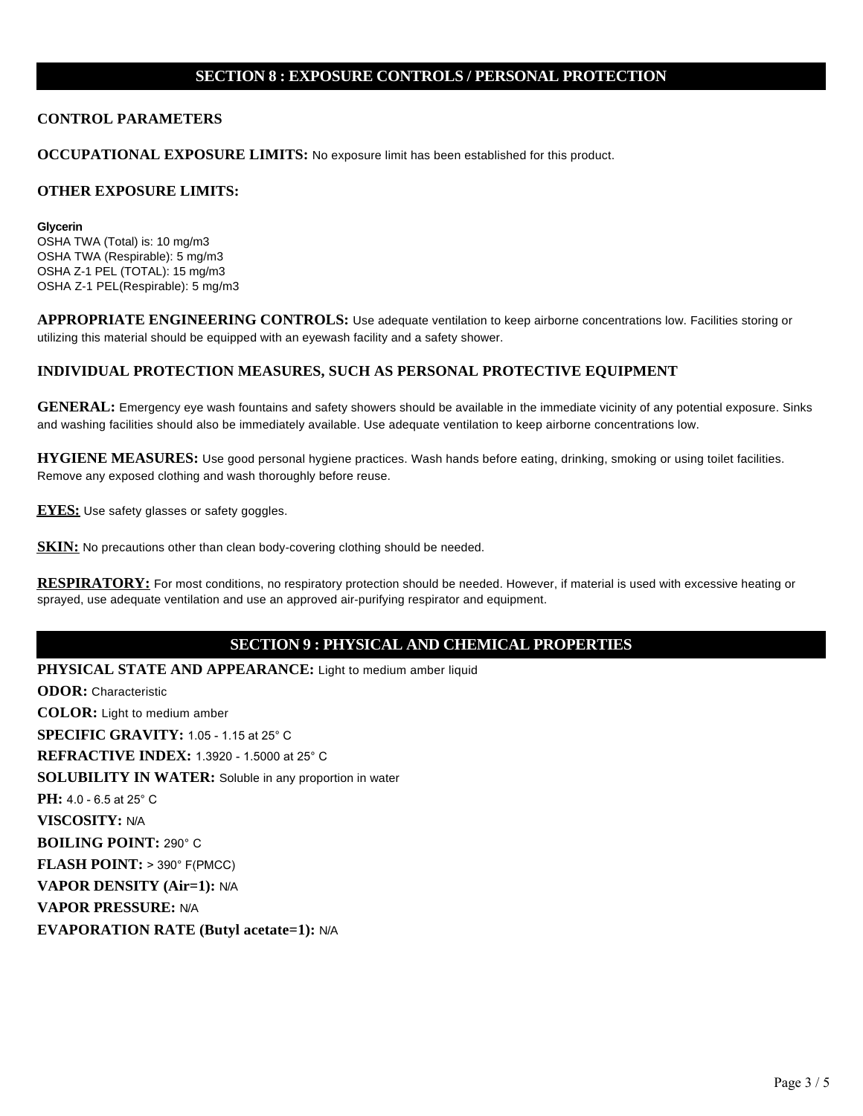#### **SECTION 8 : EXPOSURE CONTROLS / PERSONAL PROTECTION**

#### **CONTROL PARAMETERS**

**OCCUPATIONAL EXPOSURE LIMITS:** No exposure limit has been established for this product.

#### **OTHER EXPOSURE LIMITS:**

**Glycerin** OSHA TWA (Total) is: 10 mg/m3 OSHA TWA (Respirable): 5 mg/m3 OSHA Z-1 PEL (TOTAL): 15 mg/m3 OSHA Z-1 PEL(Respirable): 5 mg/m3

**APPROPRIATE ENGINEERING CONTROLS:** Use adequate ventilation to keep airborne concentrations low. Facilities storing or utilizing this material should be equipped with an eyewash facility and a safety shower.

#### **INDIVIDUAL PROTECTION MEASURES, SUCH AS PERSONAL PROTECTIVE EQUIPMENT**

**GENERAL:** Emergency eye wash fountains and safety showers should be available in the immediate vicinity of any potential exposure. Sinks and washing facilities should also be immediately available. Use adequate ventilation to keep airborne concentrations low.

**HYGIENE MEASURES:** Use good personal hygiene practices. Wash hands before eating, drinking, smoking or using toilet facilities. Remove any exposed clothing and wash thoroughly before reuse.

**EYES:** Use safety glasses or safety goggles.

**SKIN:** No precautions other than clean body-covering clothing should be needed.

**RESPIRATORY:** For most conditions, no respiratory protection should be needed. However, if material is used with excessive heating or sprayed, use adequate ventilation and use an approved air-purifying respirator and equipment.

## **SECTION 9 : PHYSICAL AND CHEMICAL PROPERTIES**

**PHYSICAL STATE AND APPEARANCE:** Light to medium amber liquid

**ODOR:** Characteristic **COLOR:** Light to medium amber **SPECIFIC GRAVITY:** 1.05 - 1.15 at 25° C **REFRACTIVE INDEX:** 1.3920 - 1.5000 at 25° C **SOLUBILITY IN WATER:** Soluble in any proportion in water **PH:** 4.0 - 6.5 at 25° C **VISCOSITY:** N/A **BOILING POINT:** 290° C **FLASH POINT:** > 390° F(PMCC) **VAPOR DENSITY (Air=1):** N/A **VAPOR PRESSURE:** N/A **EVAPORATION RATE (Butyl acetate=1):** N/A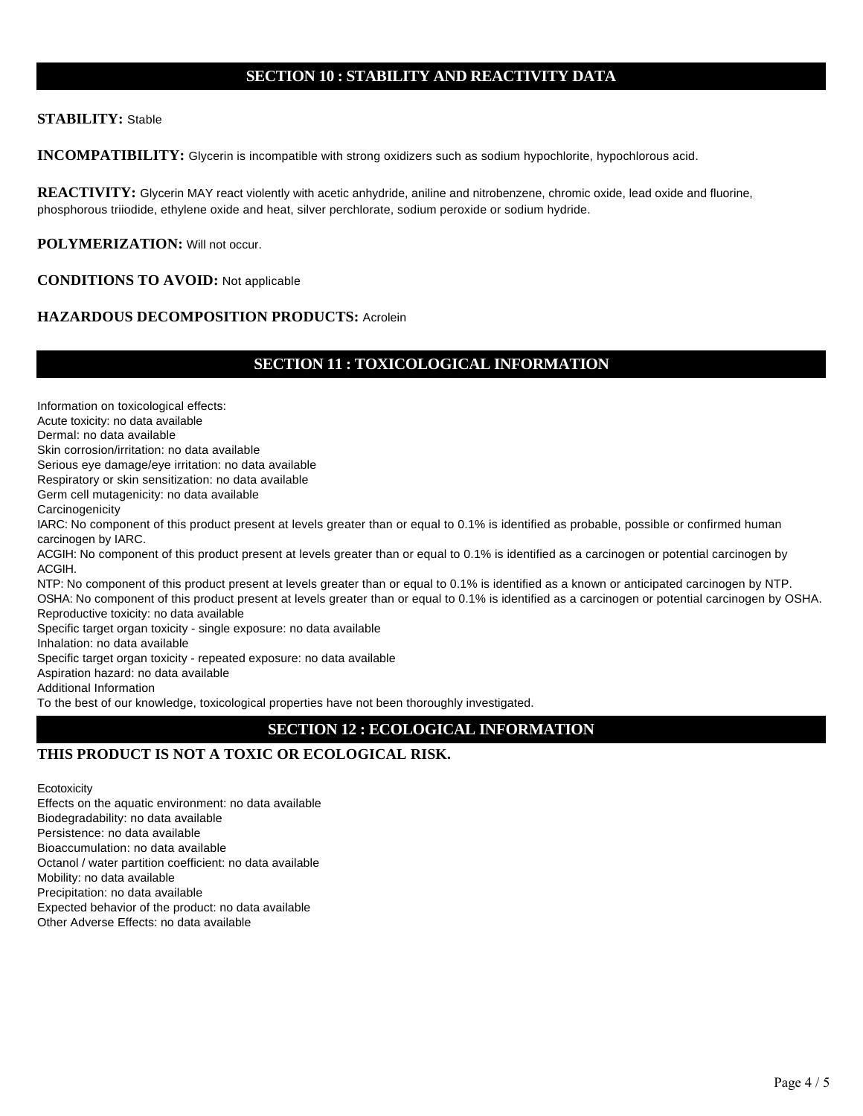## **SECTION 10 : STABILITY AND REACTIVITY DATA**

#### **STABILITY:** Stable

**INCOMPATIBILITY:** Glycerin is incompatible with strong oxidizers such as sodium hypochlorite, hypochlorous acid.

**REACTIVITY:** Glycerin MAY react violently with acetic anhydride, aniline and nitrobenzene, chromic oxide, lead oxide and fluorine, phosphorous triiodide, ethylene oxide and heat, silver perchlorate, sodium peroxide or sodium hydride.

**POLYMERIZATION:** Will not occur.

#### **CONDITIONS TO AVOID:** Not applicable

## **HAZARDOUS DECOMPOSITION PRODUCTS:** Acrolein

# **SECTION 11 : TOXICOLOGICAL INFORMATION**

Information on toxicological effects:

Acute toxicity: no data available

Dermal: no data available

Skin corrosion/irritation: no data available

Serious eye damage/eye irritation: no data available

Respiratory or skin sensitization: no data available

Germ cell mutagenicity: no data available

**Carcinogenicity** 

IARC: No component of this product present at levels greater than or equal to 0.1% is identified as probable, possible or confirmed human carcinogen by IARC.

ACGIH: No component of this product present at levels greater than or equal to 0.1% is identified as a carcinogen or potential carcinogen by ACGIH.

NTP: No component of this product present at levels greater than or equal to 0.1% is identified as a known or anticipated carcinogen by NTP. OSHA: No component of this product present at levels greater than or equal to 0.1% is identified as a carcinogen or potential carcinogen by OSHA. Reproductive toxicity: no data available

Specific target organ toxicity - single exposure: no data available

Inhalation: no data available

Specific target organ toxicity - repeated exposure: no data available

Aspiration hazard: no data available

Additional Information

To the best of our knowledge, toxicological properties have not been thoroughly investigated.

# **SECTION 12 : ECOLOGICAL INFORMATION**

# **THIS PRODUCT IS NOT A TOXIC OR ECOLOGICAL RISK.**

**Ecotoxicity** Effects on the aquatic environment: no data available Biodegradability: no data available Persistence: no data available Bioaccumulation: no data available Octanol / water partition coefficient: no data available Mobility: no data available Precipitation: no data available Expected behavior of the product: no data available Other Adverse Effects: no data available